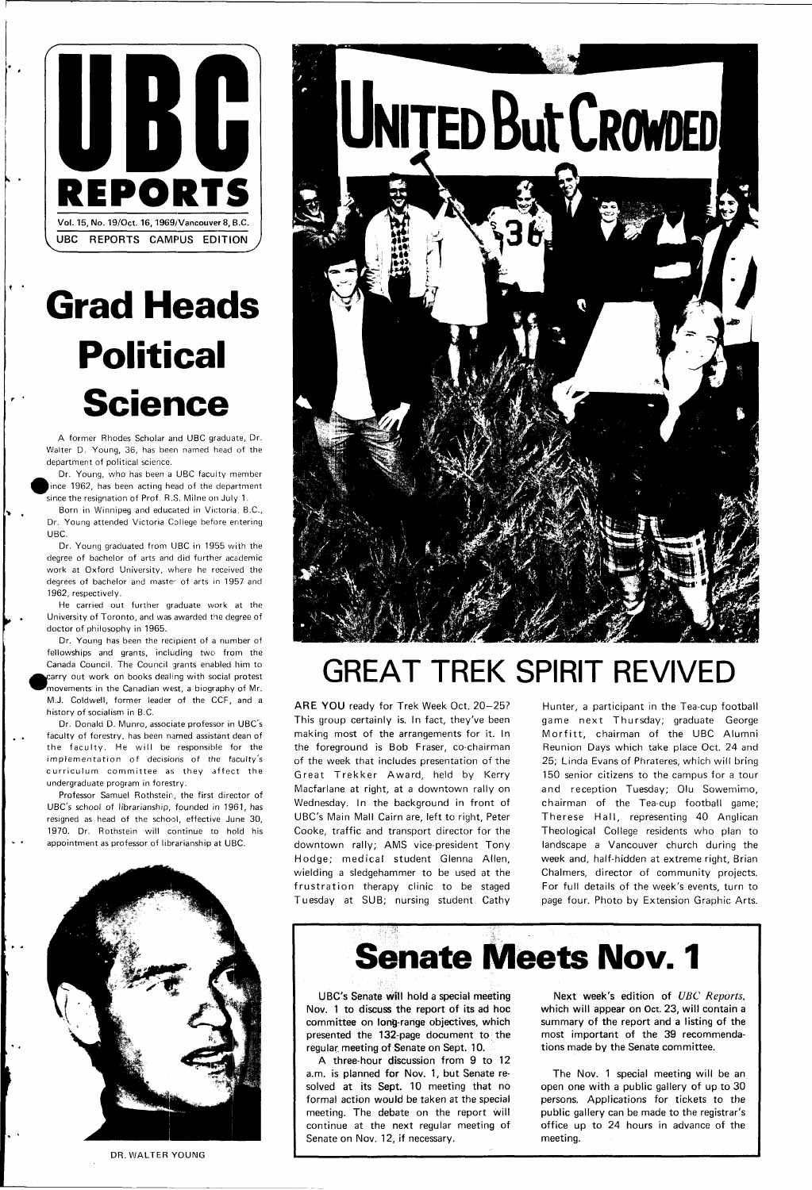

## **Grad Heads Political Science**

A former Rhodes Scholar and UBC graduate, Dr. Walter D. Young, 36, has been named head of the department of political science.

Dr. Young, who has been a UBC faculty member ince 1962, has been acting head of the department since the resignation of Prof. R.S. Milne on July 1.

Born in Winnipeg and educated in Victoria, B.C., Dr. Young attended Victoria College before entering UBC.

Dr. Young graduated from UBC in 1955 with the degree of bachelor of arts and did further academic work at Oxford University, where he received the degrees of bachelor and master of arts in 1957 and 1962, respectively.

Professor Samuel Rothstein, the first director of UBC's school of librarianship, founded in 1961, has resigned as head of the school, effective June 30, 1970. Dr. Rothstein will continue to hold his appointment as professor of librarianship at UBC.



He carried out further graduate work at the University of Toronto, and was awarded the degree of doctor of philosophy in 1965.

Dr. Young has been the recipient of a number of fellowships and grants, including two from the Canada Council. The Council grants enabled him to carry out work on books dealing with social protest movements in the Canadian west, a biography of Mr. M.J. Coldwell, former leader of the CCF, and a history of socialism in B.C.

ARE YOU ready for Trek Week Oct. 20-25? This group certainly is. In fact, they've been making most of the arrangements for it. In the foreground is Bob Fraser, co-chairman of the week that includes presentation of the Great Trekker Award, held by Kerry Macfarlane at right, at a downtown rally on Wednesday. In the background in front of UBC's Main Mall Cairn are, left to right, Peter Cooke, traffic and transport director for the downtown rally; AMS vice-president Tony Hodge; medical student Glenna Allen, wielding a sledgehammer to be used at the frustration therapy clinic to be staged

Dr. Donald D. Munro, associate professor in UBC's faculty of forestry, has been named assistant dean of the faculty. He will be responsible for the implementation of decisions of the faculty's curriculum committee as they affect the undergraduate program in forestry.

## **GREAT TREK SPIRIT REVIVED**

The Nov. 1 special meeting will be an open one with a public gallery of up to 30 persons. Applications for tickets to the public gallery can be made to the registrar's office up to 24 hours in advance of the meeting.

Hunter, a participant in the Tea-cup football game next Thursday; graduate George Morfitt, chairman of the UBC Alumni Reunion Days which take place Oct. 24 and 25; Linda Evans of Phrateres, which will bring 150 senior citizens to the campus for a tour and reception Tuesday; Olu Sowemimo, chairman of the Tea-cup football game; Therese Hall, representing 40 Anglican Theological College residents who plan to landscape a Vancouver church during the week and, half-hidden at extreme right, Brian Chalmers, director of community projects. For full details of the week's events, turn to



DR. WALTER YOUNG

## **Senate Meets Nov. 1**

UBC's Senate Will hold a special meeting Nov. 1 to discuss the report of its ad hoc committee on long-range objectives, which presented the 132-page document to the regular, meeting of Senate on Sept. 10.

A three-hour discussion from 9 to 12 a.m. is planned for Nov. 1, but Senate resolved at its Sept. 10 meeting that no formal action would be taken at the special meeting. The debate on the report will continue at the next regular meeting of Senate on Nov. 12, if necessary.

Next week's edition of UBC Reports, which will appear on Oct. 23, will contain a summary of the report and a listing of the most important of the 39 recommendations made by the Senate committee.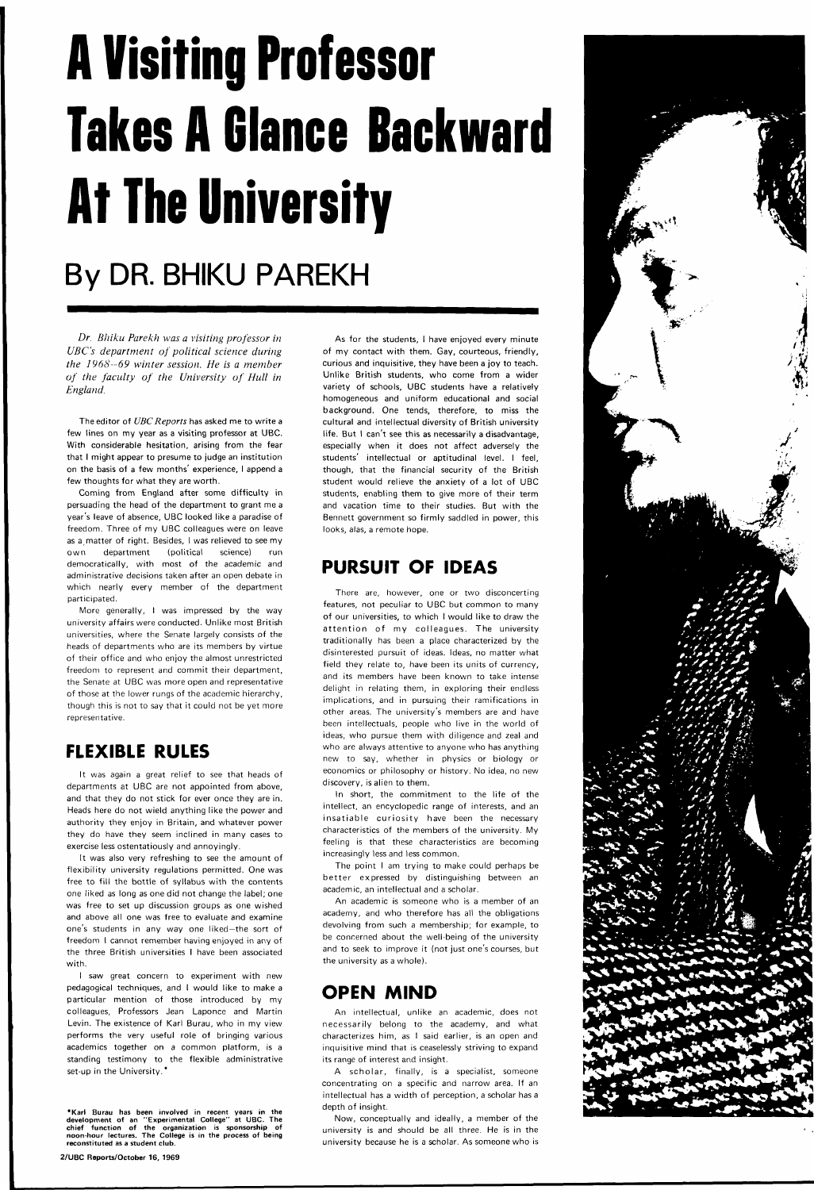# **A Visiting Professor Takes A Glance Backward At The University**

## **By DR. BHIKU PAREKH**

*Dr. Bhiku Parekh was a visiting professor in UBC's department of political science during the 1968-69 winter session. He is a member of the faculty of the University of Hull in England.* 

The editor of UBC Reports has asked me to write a few lines on my year as a visiting professor at UBC. With considerable hesitation, arising from the fear that I might appear to presume to judge an institution on the basis of a few months' experience, I append a few thoughts for what they are worth.

Coming from England after some difficulty in persuading the head of the department to grant me a year's leave of absence, UBC looked like a paradise of freedom. Three of my UBC colleagues were on leave as a matter of right. Besides, I was relieved to see my own department (political science) run democratically, with most of the academic and administrative decisions taken after an open debate in which nearly every member of the department participated.

More generally, I was impressed by the way university affairs were conducted. Unlike most British universities, where the Senate largely consists of the heads of departments who are its members by virtue of their office and who enjoy the almost unrestricted freedom to represent and commit their department, the Senate at UBC was more open and representative of those at the lower rungs of the academic hierarchy, though this is not to say that it could not be yet more representative.

### **FLEXIBLE RULES**

It was again a great relief to see that heads of departments at UBC are not appointed from above, and that they do not stick for ever once they are in. Heads here do not wield anything like the power and authority they enjoy in Britain, and whatever power they do have they seem inclined in many cases to exercise less ostentatiously and annoyingly.

It was also very refreshing to see the amount of flexibility university regulations permitted. One was free to fill the bottle of syllabus with the contents one liked as long as one did not change the label; one

was free to set up discussion groups as one wished and above all one was free to evaluate and examine one's students in any way one liked—the sort of freedom I cannot remember having enjoyed in any of the three British universities I have been associated with.

I saw great concern to experiment with new pedagogical techniques, and I would like to make a particular mention of those introduced by my colleagues, Professors Jean Laponce and Martin Levin. The existence of Karl Burau, who in my view performs the very useful role of bringing various academics together on a common platform, is a standing testimony to the flexible administrative set-up in the University.\*

**"Karl Burau has been involved in recent years in the development of an "Experimental College" at UBC. The chief function of the organization is sponsorship of noon-hour lectures. The College is in the process of being reconstituted as a student club.** 

**2/UBC Reports/October 16, 1969** 

As for the students, I have enjoyed every minute of my contact with them. Gay, courteous, friendly, curious and inquisitive, they have been a joy to teach. Unlike British students, who come from a wider variety of schools, UBC students have a relatively homogeneous and uniform educational and social background. One tends, therefore, to miss the cultural and intellectual diversity of British university life. But I can't see this as necessarily a disadvantage, especially when it does not affect adversely the students' intellectual or aptitudinal level. I feel, though, that the financial security of the British student would relieve the anxiety of a lot of UBC students, enabling them to give more of their term and vacation time to their studies. But with the Bennett government so firmly saddled in power, this looks, alas, a remote hope.

### **PURSUIT OF IDEAS**

There are, however, one or two disconcerting features, not peculiar to UBC but common to many of our universities, to which I would like to draw the attention of my colleagues. The university traditionally has been a place characterized by the disinterested pursuit of ideas. Ideas, no matter what field they relate to, have been its units of currency, and its members have been known to take intense delight in relating them, in exploring their endless implications, and in pursuing their ramifications in other areas. The university's members are and have been intellectuals, people who live in the world of ideas, who pursue them with diligence and zeal and who are always attentive to anyone who has anything new to say, whether in physics or biology or economics or philosophy or history. No idea, no new discovery, is alien to them.



In short, the commitment to the life of the intellect, an encyclopedic range of interests, and an insatiable curiosity have been the necessary characteristics of the members of the university. My feeling is that these characteristics are becoming increasingly less and less common.

The point I am trying to make could perhaps be better expressed by distinguishing between an academic, an intellectual and a scholar.

An academic is someone who is a member of an academy, and who therefore has all the obligations devolving from such a membership; for example, to be concerned about the well-being of the university and to seek to improve it (not just one's courses, but the university as a whole).

### **OPEN MIND**

An intellectual, unlike an academic, does not necessarily belong to the academy, and what characterizes him, as I said earlier, is an open and inquisitive mind that is ceaselessly striving to expand its range of interest and insight.

A scholar, finally, is a specialist, someone concentrating on a specific and narrow area. If an intellectual has a width of perception, a scholar has a depth of insight.

Now, conceptually and ideally, a member of the university is and should be all three. He is in the university because he is a scholar. As someone who is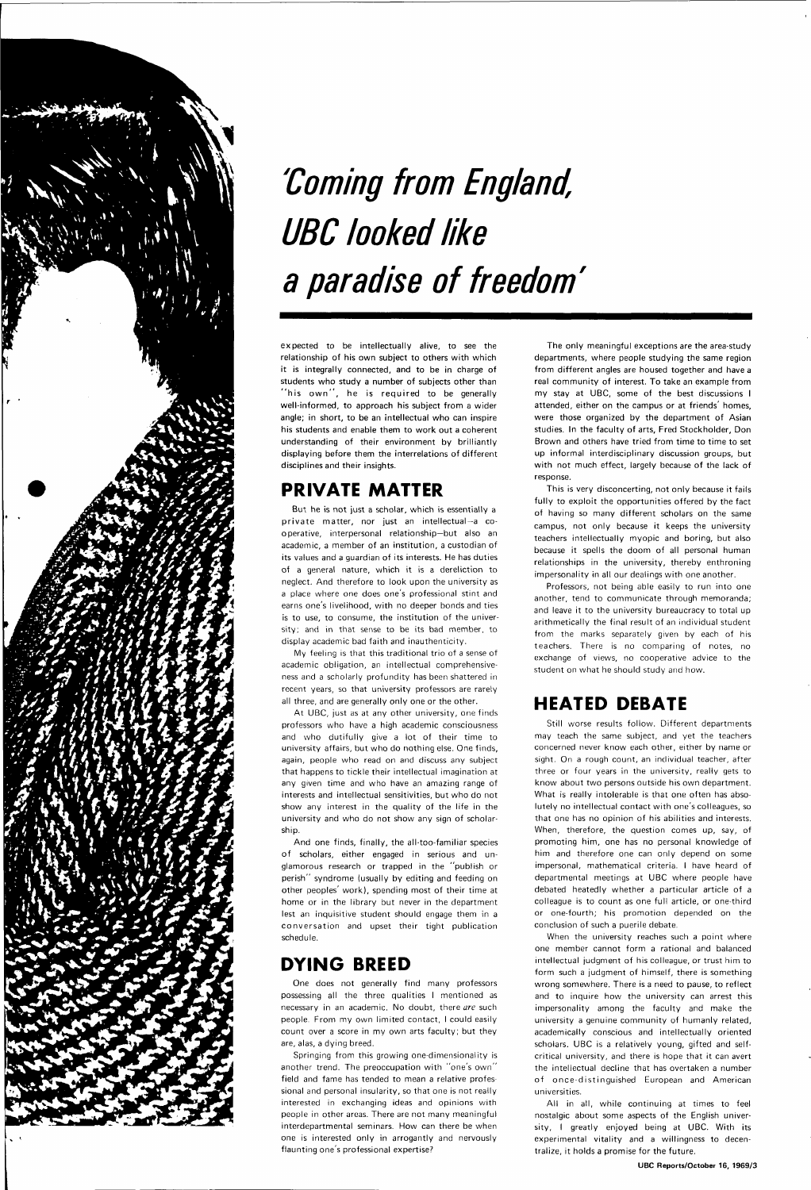

## **'Coming from England, UBC looked like a paradise of freedom'**

expected to be intellectually alive, to see the relationship of his own subject to others with which it is integrally connected, and to be in charge of students who study a number of subjects other than "his own", he is required to be generally well-informed, to approach his subject from a wider angle; in short, to be an intellectual who can inspire his students and enable them to work out a coherent understanding of their environment by brilliantly displaying before them the interrelations of different disciplines and their insights.

### **PRIVATE MATTER**

But he is not just a scholar, which is essentially a private matter, nor just an intellectual-a cooperative, interpersonal relationship—but also an academic, a member of an institution, a custodian of its values and a guardian of its interests. He has duties of a general nature, which it is a dereliction to neglect. And therefore to look upon the university as a place where one does one's professional stint and earns one's livelihood, with no deeper bonds and ties is to use, to consume, the institution of the university; and in that sense to be its bad member, to display academic bad faith and inauthenticity.

My feeling is that this traditional trio of a sense of academic obligation, an intellectual comprehensiveness and a scholarly profundity has been shattered in recent years, so that university professors are rarely all three, and are generally only one or the other.

At UBC, just as at any other university, one finds professors who have a high academic consciousness and who dutifully give a lot of their time to university affairs, but who do nothing else. One finds, again, people who read on and discuss any subject that happens to tickle their intellectual imagination at any given time and who have an amazing range of interests and intellectual sensitivities, but who do not show any interest in the quality of the life in the university and who do not show any sign of scholarship.

And one finds, finally, the all-too-familiar species of scholars, either engaged in serious and unglamorous research or trapped in the "publish or perish" syndrome (usually by editing and feeding on other peoples' work), spending most of their time at home or in the library but never in the department lest an inquisitive student should engage them in a conversation and upset their tight publication schedule.

### **DYING BREED**

One does not generally find many professors possessing all the three qualities I mentioned as necessary in an academic. No doubt, there are such people. From my own limited contact, I could easily count over a score in my own arts faculty; but they are, alas, a dying breed.

Springing from this growing one-dimensionality is another trend. The preoccupation with "one's own " field and fame has tended to mean a relative professional and personal insularity, so that one is not really interested in exchanging ideas and opinions with people in other areas. There are not many meaningful interdepartmental seminars. How can there be when one is interested only in arrogantly and nervously flaunting one's professional expertise?

When the university reaches such a point where one member cannot form a rational and balanced intellectual judgment of his colleague, or trust him to form such a judgment of himself, there is something wrong somewhere. There is a need to pause, to reflect and to inquire how the university can arrest this impersonality among the faculty and make the university a genuine community of humanly related, academically conscious and intellectually oriented scholars. UBC is a relatively young, gifted and selfcritical university, and there is hope that it can avert the intellectual decline that has overtaken a number of once-distinguished European and American universities.

The only meaningful exceptions are the area-study departments, where people studying the same region from different angles are housed together and have a real community of interest. To take an example from my stay at UBC, some of the best discussions I attended, either on the campus or at friends' homes, were those organized by the department of Asian studies. In the faculty of arts, Fred Stockholder, Don Brown and others have tried from time to time to set up informal interdisciplinary discussion groups, but with not much effect, largely because of the lack of response.

This is very disconcerting, not only because it fails fully to exploit the opportunities offered by the fact of having so many different scholars on the same campus, not only because it keeps the university teachers intellectually myopic and boring, but also because it spells the doom of all personal human relationships in the university, thereby enthroning impersonality in all our dealings with one another.

Professors, not being able easily to run into one another, tend to communicate through memoranda; and leave it to the university bureaucracy to total up arithmetically the final result of an individual student from the marks separately given by each of his teachers. There is no comparing of notes, no exchange of views, no cooperative advice to the student on what he should study and how.

### **HEATED DEBATE**

Still worse results follow. Different departments may teach the same subject, and yet the teachers concerned never know each other, either by name or sight. On a rough count, an individual teacher, after three or four years in the university, really gets to know about two persons outside his own department. What is really intolerable is that one often has absolutely no intellectual contact with one's colleagues, so that one has no opinion of his abilities and interests. When, therefore, the question comes up, say, of promoting him, one has no personal knowledge of him and therefore one can only depend on some impersonal, mathematical criteria. I have heard of departmental meetings at UBC where people have debated heatedly whether a particular article of a

colleague is to count as one full article, or one-third or one-fourth; his promotion depended on the conclusion of such a puerile debate.

All in all, while continuing at times to feel nostalgic about some aspects of the English university, I greatly enjoyed being at UBC. With its experimental vitality and a willingness to decentralize, it holds a promise for the future.

#### UBC Reports/October 16, 1969/3